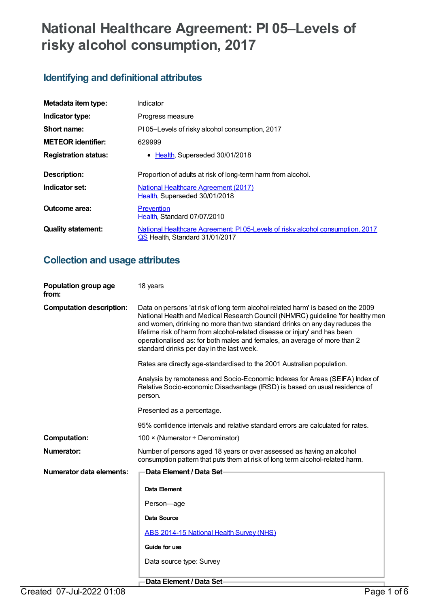# **National Healthcare Agreement: PI 05–Levels of risky alcohol consumption, 2017**

# **Identifying and definitional attributes**

| Metadata item type:         | Indicator                                                                                                        |
|-----------------------------|------------------------------------------------------------------------------------------------------------------|
| Indicator type:             | Progress measure                                                                                                 |
| Short name:                 | PI05-Levels of risky alcohol consumption, 2017                                                                   |
| <b>METEOR identifier:</b>   | 629999                                                                                                           |
| <b>Registration status:</b> | • Health, Superseded 30/01/2018                                                                                  |
| Description:                | Proportion of adults at risk of long-term harm from alcohol.                                                     |
| Indicator set:              | <b>National Healthcare Agreement (2017)</b><br>Health, Superseded 30/01/2018                                     |
| <b>Outcome area:</b>        | Prevention<br>Health, Standard 07/07/2010                                                                        |
| <b>Quality statement:</b>   | National Healthcare Agreement: PI 05-Levels of risky alcohol consumption, 2017<br>QS Health, Standard 31/01/2017 |

## **Collection and usage attributes**

| Population group age<br>from:   | 18 years                                                                                                                                                                                                                                                                                                                                                                                                                                                   |
|---------------------------------|------------------------------------------------------------------------------------------------------------------------------------------------------------------------------------------------------------------------------------------------------------------------------------------------------------------------------------------------------------------------------------------------------------------------------------------------------------|
| <b>Computation description:</b> | Data on persons 'at risk of long term alcohol related harm' is based on the 2009<br>National Health and Medical Research Council (NHMRC) guideline 'for healthy men<br>and women, drinking no more than two standard drinks on any day reduces the<br>lifetime risk of harm from alcohol-related disease or injury' and has been<br>operationalised as: for both males and females, an average of more than 2<br>standard drinks per day in the last week. |
|                                 | Rates are directly age-standardised to the 2001 Australian population.                                                                                                                                                                                                                                                                                                                                                                                     |
|                                 | Analysis by remoteness and Socio-Economic Indexes for Areas (SEIFA) Index of<br>Relative Socio-economic Disadvantage (IRSD) is based on usual residence of<br>person.                                                                                                                                                                                                                                                                                      |
|                                 | Presented as a percentage.                                                                                                                                                                                                                                                                                                                                                                                                                                 |
|                                 | 95% confidence intervals and relative standard errors are calculated for rates.                                                                                                                                                                                                                                                                                                                                                                            |
| <b>Computation:</b>             | 100 $\times$ (Numerator ÷ Denominator)                                                                                                                                                                                                                                                                                                                                                                                                                     |
| Numerator:                      | Number of persons aged 18 years or over assessed as having an alcohol<br>consumption pattern that puts them at risk of long term alcohol-related harm.                                                                                                                                                                                                                                                                                                     |
| Numerator data elements:        | Data Element / Data Set-                                                                                                                                                                                                                                                                                                                                                                                                                                   |
|                                 | Data Element                                                                                                                                                                                                                                                                                                                                                                                                                                               |
|                                 | Person-age                                                                                                                                                                                                                                                                                                                                                                                                                                                 |
|                                 | <b>Data Source</b>                                                                                                                                                                                                                                                                                                                                                                                                                                         |
|                                 | ABS 2014-15 National Health Survey (NHS)                                                                                                                                                                                                                                                                                                                                                                                                                   |
|                                 | Guide for use                                                                                                                                                                                                                                                                                                                                                                                                                                              |
|                                 | Data source type: Survey                                                                                                                                                                                                                                                                                                                                                                                                                                   |
|                                 |                                                                                                                                                                                                                                                                                                                                                                                                                                                            |

**Data Element / Data Set**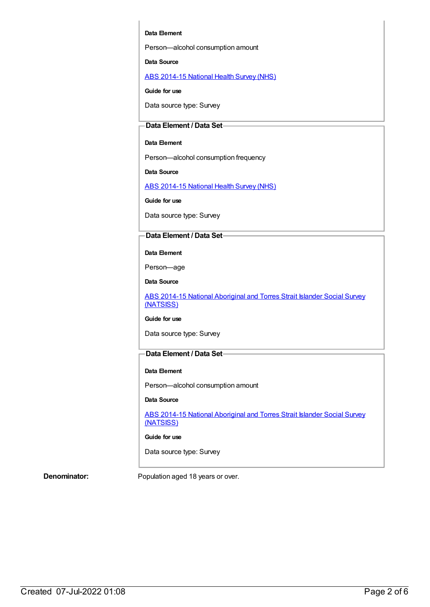#### **Data Element**

Person—alcohol consumption amount

**Data Source**

ABS [2014-15](https://meteor.aihw.gov.au/content/644695) National Health Survey (NHS)

**Guide for use**

Data source type: Survey

#### **Data Element / Data Set**

#### **Data Element**

Person—alcohol consumption frequency

**Data Source**

ABS [2014-15](https://meteor.aihw.gov.au/content/644695) National Health Survey (NHS)

**Guide for use**

Data source type: Survey

### **Data Element / Data Set**

**Data Element**

Person—age

**Data Source**

ABS 2014-15 National [Aboriginal](https://meteor.aihw.gov.au/content/644707) and Torres Strait Islander Social Survey (NATSISS)

#### **Guide for use**

Data source type: Survey

### **Data Element / Data Set**

#### **Data Element**

Person—alcohol consumption amount

#### **Data Source**

ABS 2014-15 National [Aboriginal](https://meteor.aihw.gov.au/content/644707) and Torres Strait Islander Social Survey (NATSISS)

#### **Guide for use**

Data source type: Survey

**Denominator:** Population aged 18 years or over.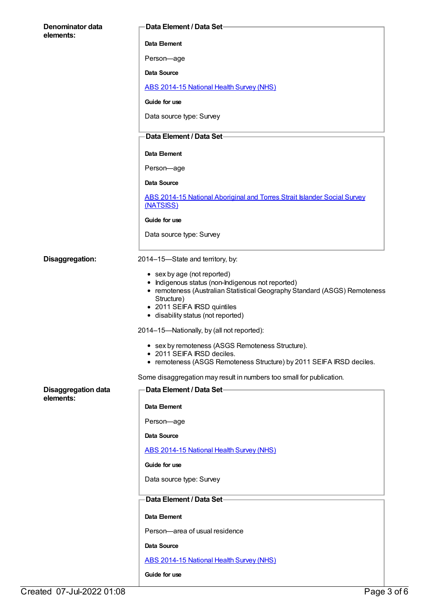| Denominator data           | Data Element / Data Set-                                                                                                                                                                                                                         |
|----------------------------|--------------------------------------------------------------------------------------------------------------------------------------------------------------------------------------------------------------------------------------------------|
| elements:                  | Data Element                                                                                                                                                                                                                                     |
|                            | Person-age                                                                                                                                                                                                                                       |
|                            | <b>Data Source</b>                                                                                                                                                                                                                               |
|                            | <b>ABS 2014-15 National Health Survey (NHS)</b>                                                                                                                                                                                                  |
|                            | Guide for use                                                                                                                                                                                                                                    |
|                            | Data source type: Survey                                                                                                                                                                                                                         |
|                            | Data Element / Data Set-                                                                                                                                                                                                                         |
|                            | Data Element                                                                                                                                                                                                                                     |
|                            | Person-age                                                                                                                                                                                                                                       |
|                            | Data Source                                                                                                                                                                                                                                      |
|                            | ABS 2014-15 National Aboriginal and Torres Strait Islander Social Survey<br>(NATSISS)                                                                                                                                                            |
|                            | Guide for use                                                                                                                                                                                                                                    |
|                            | Data source type: Survey                                                                                                                                                                                                                         |
| Disaggregation:            | 2014-15-State and territory, by:                                                                                                                                                                                                                 |
|                            | • sex by age (not reported)<br>• Indigenous status (non-Indigenous not reported)<br>• remoteness (Australian Statistical Geography Standard (ASGS) Remoteness<br>Structure)<br>• 2011 SEIFA IRSD quintiles<br>• disability status (not reported) |
|                            | 2014-15-Nationally, by (all not reported):                                                                                                                                                                                                       |
|                            | • sex by remoteness (ASGS Remoteness Structure).<br>• 2011 SEIFA IRSD deciles.<br>• remoteness (ASGS Remoteness Structure) by 2011 SEIFA IRSD deciles.                                                                                           |
|                            | Some disaggregation may result in numbers too small for publication.                                                                                                                                                                             |
| <b>Disaggregation data</b> | Data Element / Data Set-                                                                                                                                                                                                                         |
| elements:                  | Data Element                                                                                                                                                                                                                                     |
|                            | Person-age                                                                                                                                                                                                                                       |
|                            | Data Source                                                                                                                                                                                                                                      |
|                            | ABS 2014-15 National Health Survey (NHS)                                                                                                                                                                                                         |
|                            | Guide for use                                                                                                                                                                                                                                    |
|                            | Data source type: Survey                                                                                                                                                                                                                         |
|                            | Data Element / Data Set-                                                                                                                                                                                                                         |
|                            | Data Element                                                                                                                                                                                                                                     |
|                            | Person-area of usual residence                                                                                                                                                                                                                   |
|                            | Data Source                                                                                                                                                                                                                                      |
|                            | ABS 2014-15 National Health Survey (NHS)                                                                                                                                                                                                         |
|                            | Guide for use                                                                                                                                                                                                                                    |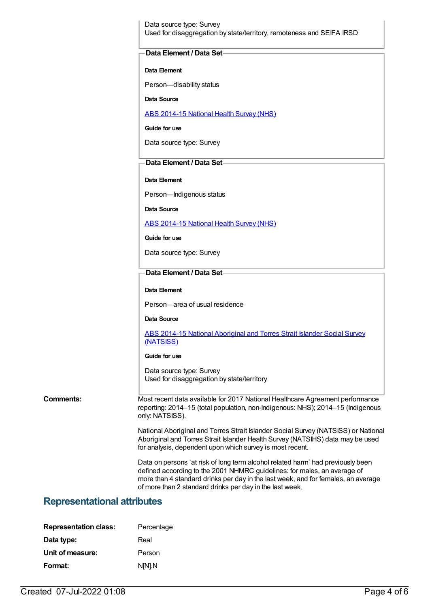Data source type: Survey Used for disaggregation by state/territory, remoteness and SEIFA IRSD

#### **Data Element / Data Set**

#### **Data Element**

Person—disability status

**Data Source**

ABS [2014-15](https://meteor.aihw.gov.au/content/644695) National Health Survey (NHS)

**Guide for use**

Data source type: Survey

### **Data Element / Data Set**

#### **Data Element**

Person—Indigenous status

**Data Source**

ABS [2014-15](https://meteor.aihw.gov.au/content/644695) National Health Survey (NHS)

**Guide for use**

Data source type: Survey

#### **Data Element / Data Set**

**Data Element**

Person—area of usual residence

**Data Source**

ABS 2014-15 National [Aboriginal](https://meteor.aihw.gov.au/content/644707) and Torres Strait Islander Social Survey (NATSISS)

#### **Guide for use**

Data source type: Survey Used for disaggregation by state/territory

**Comments:** Most recent data available for 2017 National Healthcare Agreement performance reporting: 2014–15 (total population, non-Indigenous: NHS); 2014–15 (Indigenous only: NATSISS).

> National Aboriginal and Torres Strait Islander Social Survey (NATSISS) or National Aboriginal and Torres Strait Islander Health Survey (NATSIHS) data may be used for analysis, dependent upon which survey is most recent.

Data on persons 'at risk of long term alcohol related harm' had previously been defined according to the 2001 NHMRC guidelines: for males, an average of more than 4 standard drinks per day in the last week, and for females, an average of more than 2 standard drinks per day in the last week.

## **Representational attributes**

| <b>Representation class:</b> | Percentage |
|------------------------------|------------|
| Data type:                   | Real       |
| Unit of measure:             | Person     |
| Format:                      | N[N].N     |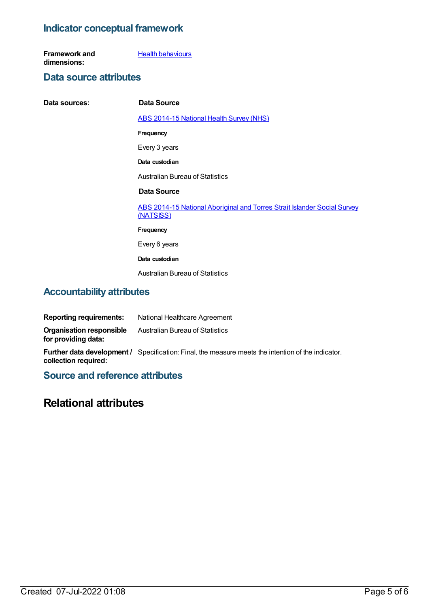## **Indicator conceptual framework**

**Framework and dimensions: Health [behaviours](https://meteor.aihw.gov.au/content/392579)** 

## **Data source attributes**

| Data sources: | Data Source                                                                           |
|---------------|---------------------------------------------------------------------------------------|
|               | ABS 2014-15 National Health Survey (NHS)                                              |
|               | <b>Frequency</b>                                                                      |
|               | Every 3 years                                                                         |
|               | Data custodian                                                                        |
|               | <b>Australian Bureau of Statistics</b>                                                |
|               | Data Source                                                                           |
|               | ABS 2014-15 National Aboriginal and Torres Strait Islander Social Survey<br>(NATSISS) |
|               | <b>Frequency</b>                                                                      |
|               | Every 6 years                                                                         |
|               | Data custodian                                                                        |
|               | <b>Australian Bureau of Statistics</b>                                                |

## **Accountability attributes**

| <b>Reporting requirements:</b>                         | National Healthcare Agreement                                                                             |
|--------------------------------------------------------|-----------------------------------------------------------------------------------------------------------|
| <b>Organisation responsible</b><br>for providing data: | Australian Bureau of Statistics                                                                           |
| collection required:                                   | <b>Further data development /</b> Specification: Final, the measure meets the intention of the indicator. |

**Source and reference attributes**

# **Relational attributes**